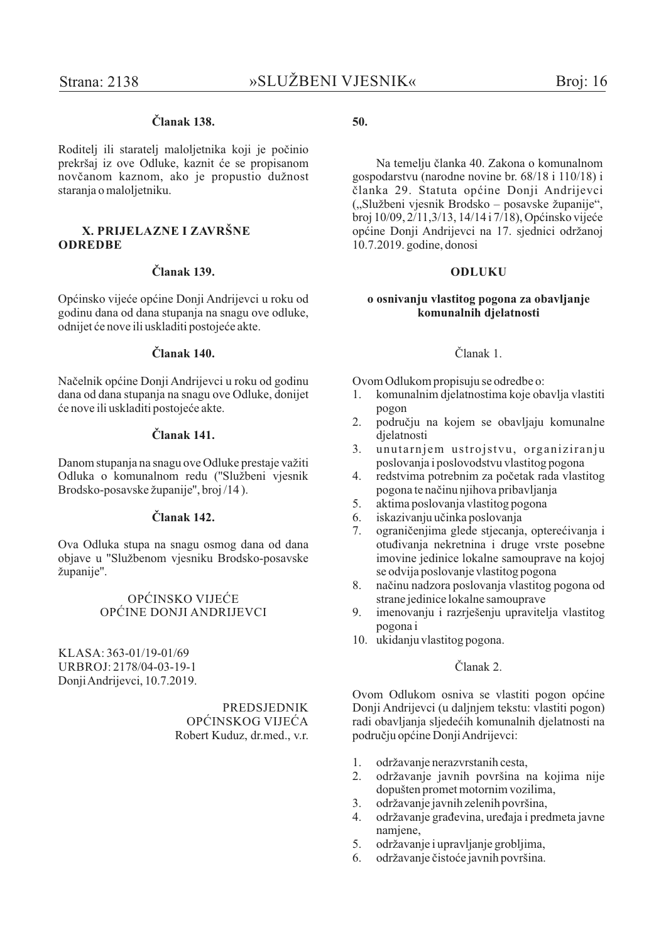# Članak 138

Roditelj ili staratelj maloljetnika koji je počinio prekršaj iz ove Odluke, kaznit će se propisanom novčanom kaznom, ako je propustio dužnost staranja o maloljetniku.

#### X. PRLIELAZNE I ZAVRŠNE **ODREDBE**

### Članak 139.

Općinsko vijeće općine Donji Andrijevci u roku od godinu dana od dana stupanja na snagu ove odluke, odnijet će nove ili uskladiti postojeće akte.

#### Članak 140.

Načelnik općine Donji Andrijevci u roku od godinu dana od dana stupanja na snagu ove Odluke, donijet će nove ili uskladiti postojeće akte.

## Članak 141.

Danom stupanja na snagu ove Odluke prestaje važiti Odluka o komunalnom redu ("Službeni vjesnik Brodsko-posavske županije", broj /14).

### Članak 142.

Ova Odluka stupa na snagu osmog dana od dana objave u "Službenom vjesniku Brodsko-posavske županije".

## OPĆINSKO VIJEĆE OPĆINE DONJI ANDRIJEVCI

KLASA: 363-01/19-01/69 URBROJ: 2178/04-03-19-1 Donii Andriievci, 10.7.2019.

> **PREDSIEDNIK** OPĆINSKOG VIJEĆA Robert Kuduz, dr.med., v.r.

## 50.

Na temelju članka 40. Zakona o komunalnom gospodarstvu (narodne novine br. 68/18 i 110/18) i članka 29. Statuta općine Donji Andrijevci ("Službeni vjesnik Brodsko – posavske županije", broj 10/09, 2/11, 3/13, 14/14 i 7/18), Općinsko vijeće općine Donji Andrijevci na 17. sjednici održanoj 10.7.2019. godine, donosi

#### **ODLUKU**

#### o osnivanju vlastitog pogona za obavljanje komunalnih djelatnosti

#### Članak 1.

Ovom Odlukom propisuju se odredbe o:

- komunalnim djelatnostima koje obavlja vlastiti 1. pogon
- $2.$ području na kojem se obavljaju komunalne dielatnosti
- $\mathcal{E}$ unutarniem ustrojstvu, organiziranju poslovanja i poslovodstvu vlastitog pogona
- $4.$ redstvima potrebnim za početak rada vlastitog pogona te načinu njihova pribavljanja
- 5. aktima poslovanja vlastitog pogona
- iskazivanju učinka poslovanja 6
- 7. ograničenjima glede stjecanja, opterećivanja i otuđivanja nekretnina i druge vrste posebne imovine jedinice lokalne samouprave na kojoj se odvija poslovanje vlastitog pogona
- načinu nadzora poslovanja vlastitog pogona od 8. strane jedinice lokalne samouprave
- $9<sub>1</sub>$ imenovanju i razrješenju upravitelja vlastitog pogona i
- 10. ukidanju vlastitog pogona.

## Članak 2.

Ovom Odlukom osniva se vlastiti pogon općine Donji Andrijevci (u daljnjem tekstu: vlastiti pogon) radi obavljanja sljedećih komunalnih djelatnosti na području općine Donji Andrijevci:

- 1. održavanje nerazvrstanih cesta,
- $2.$ održavanje javnih površina na kojima nije dopušten promet motornim vozilima,
- $\mathfrak{Z}$ . održavanje javnih zelenih površina.
- $\overline{4}$ . održavanje građevina, uređaja i predmeta javne namiene.
- 5. održavanje i upravljanje grobljima,
- održavanje čistoće javnih površina. 6.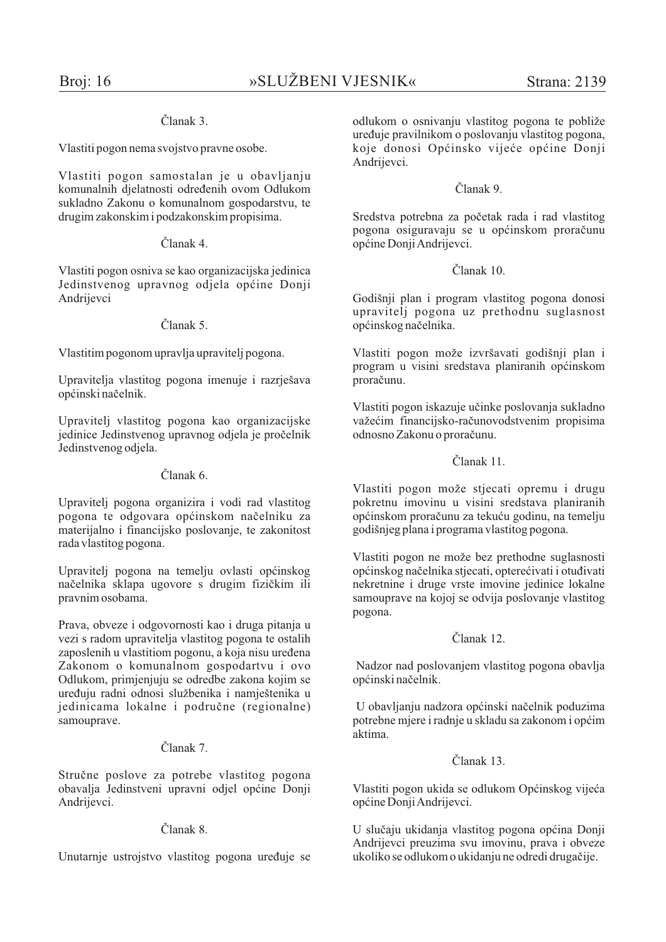## $\check{\Gamma}$ lanak 3

Vlastiti pogon nema svojstvo pravne osobe.

Vlastiti pogon samostalan je u obavljanju komunalnih djelatnosti određenih ovom Odlukom sukladno Zakonu o komunalnom gospodarstvu, te drugim zakonskim i podzakonskim propisima.

## $\check{\mathrm{C}}$ lanak 4

Vlastiti pogon osniva se kao organizacijska jedinica Jedinstvenog upravnog odjela općine Donji Andrijevci

## Članak 5.

Vlastitim pogonom upravlja upravitelj pogona.

Upravitelja vlastitog pogona imenuje i razrješava općinski načelnik.

Upravitelj vlastitog pogona kao organizacijske jedinice Jedinstvenog upravnog odjela je pročelnik Jedinstvenog odjela.

## $\check{\text{C}}$ lanak 6

Upravitelj pogona organizira i vodi rad vlastitog pogona te odgovara općinskom načelniku za materijalno i financijsko poslovanje, te zakonitost rada vlastitog pogona.

Upravitelj pogona na temelju ovlasti općinskog načelnika sklapa ugovore s drugim fizičkim ili pravnim osobama.

Prava, obveze i odgovornosti kao i druga pitanja u vezi s radom upravitelja vlastitog pogona te ostalih zaposlenih u vlastitiom pogonu, a koja nisu uređena Zakonom o komunalnom gospodartvu i ovo Odlukom, primjenjuju se odredbe zakona kojim se uređuju radni odnosi službenika i namještenika u iedinicama lokalne i područne (regionalne) samouprave.

## Članak 7

Stručne poslove za potrebe vlastitog pogona obavalja Jedinstveni upravni odjel općine Donji Andrijevci.

## Članak 8.

Unutarnie ustrojstvo vlastitog pogona uređuje se

odlukom o osnivanju vlastitog pogona te pobliže uređuje pravilnikom o poslovanju vlastitog pogona. koje donosi Općinsko vijeće općine Donji Andrijevci.

## Članak 9

Sredstva potrebna za početak rada i rad vlastitog pogona osiguravaju se u općinskom proračunu općine Donii Andrijevci.

## $Č$ lanak 10

Godišnji plan i program vlastitog pogona donosi upravitelj pogona uz prethodnu suglasnost općinskog načelnika.

Vlastiti pogon može izvršavati godišnji plan i program u visini sredstava planiranih općinskom proračunu.

Vlastiti pogon iskazuje učinke poslovanja sukladno važećim financijsko-računovodstvenim propisima odnosno Zakonu o proračunu.

# Članak 11

Vlastiti pogon može stjecati opremu i drugu pokretnu imovinu u visini sredstava planiranih općinskom proračunu za tekuću godinu, na temelju godišnjeg plana i programa vlastitog pogona.

Vlastiti pogon ne može bez prethodne suglasnosti općinskog načelnika stjecati, opterećivati i otuđivati nekretnine i druge vrste imovine jedinice lokalne samouprave na kojoj se odvija poslovanje vlastitog pogona.

## $\check{\text{C}}$ lanak 12

Nadzor nad poslovanjem vlastitog pogona obavlja općinski načelnik.

U obavljanju nadzora općinski načelnik poduzima potrebne mjere i radnje u skladu sa zakonom i općim aktima.

## $\check{\text{C}}$ lanak 13

Vlastiti pogon ukida se odlukom Općinskog vijeća općine Donji Andrijevci.

U slučaju ukidanja vlastitog pogona općina Donji Andrijevci preuzima svu imovinu, prava i obveze ukoliko se odlukom o ukidanju ne odredi drugačije.